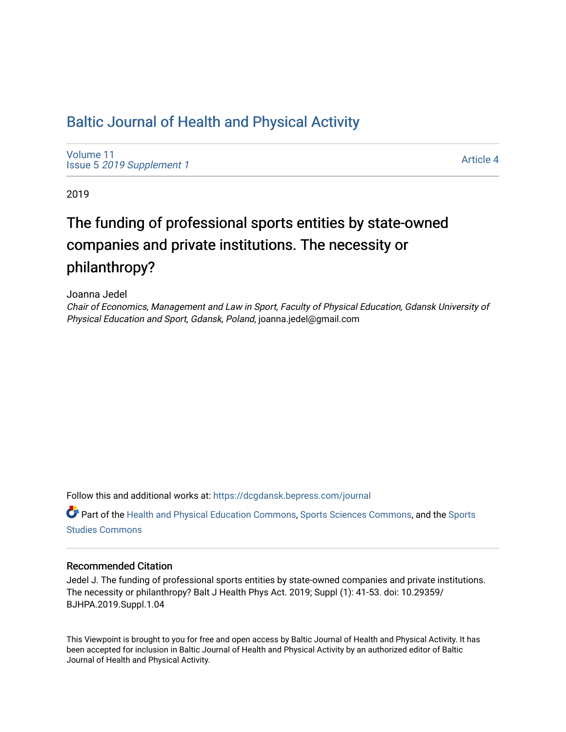# [Baltic Journal of Health and Physical Activity](https://dcgdansk.bepress.com/journal)

[Volume 11](https://dcgdansk.bepress.com/journal/vol11) Issue 5 [2019 Supplement 1](https://dcgdansk.bepress.com/journal/vol11/iss5) 

[Article 4](https://dcgdansk.bepress.com/journal/vol11/iss5/4) 

2019

# The funding of professional sports entities by state-owned companies and private institutions. The necessity or philanthropy?

Joanna Jedel

Chair of Economics, Management and Law in Sport, Faculty of Physical Education, Gdansk University of Physical Education and Sport, Gdansk, Poland, joanna.jedel@gmail.com

Follow this and additional works at: [https://dcgdansk.bepress.com/journal](https://dcgdansk.bepress.com/journal?utm_source=dcgdansk.bepress.com%2Fjournal%2Fvol11%2Fiss5%2F4&utm_medium=PDF&utm_campaign=PDFCoverPages)

Part of the [Health and Physical Education Commons](http://network.bepress.com/hgg/discipline/1327?utm_source=dcgdansk.bepress.com%2Fjournal%2Fvol11%2Fiss5%2F4&utm_medium=PDF&utm_campaign=PDFCoverPages), [Sports Sciences Commons](http://network.bepress.com/hgg/discipline/759?utm_source=dcgdansk.bepress.com%2Fjournal%2Fvol11%2Fiss5%2F4&utm_medium=PDF&utm_campaign=PDFCoverPages), and the [Sports](http://network.bepress.com/hgg/discipline/1198?utm_source=dcgdansk.bepress.com%2Fjournal%2Fvol11%2Fiss5%2F4&utm_medium=PDF&utm_campaign=PDFCoverPages)  [Studies Commons](http://network.bepress.com/hgg/discipline/1198?utm_source=dcgdansk.bepress.com%2Fjournal%2Fvol11%2Fiss5%2F4&utm_medium=PDF&utm_campaign=PDFCoverPages) 

#### Recommended Citation

Jedel J. The funding of professional sports entities by state-owned companies and private institutions. The necessity or philanthropy? Balt J Health Phys Act. 2019; Suppl (1): 41-53. doi: 10.29359/ BJHPA.2019.Suppl.1.04

This Viewpoint is brought to you for free and open access by Baltic Journal of Health and Physical Activity. It has been accepted for inclusion in Baltic Journal of Health and Physical Activity by an authorized editor of Baltic Journal of Health and Physical Activity.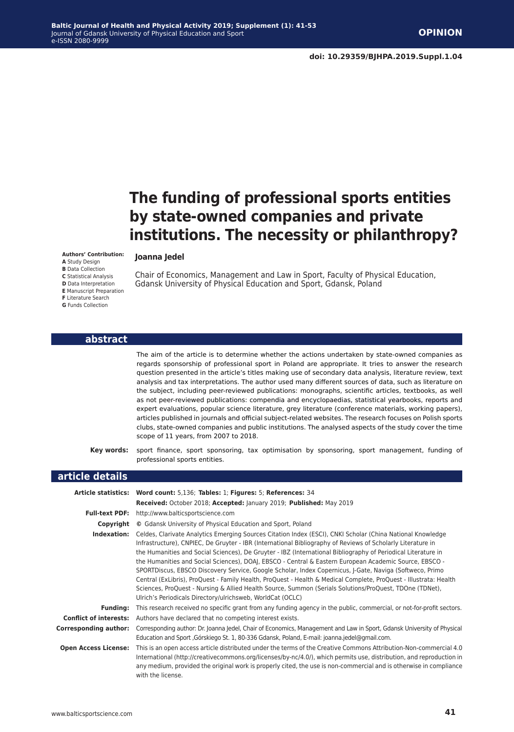# **The funding of professional sports entities by state-owned companies and private institutions. The necessity or philanthropy?**

#### **Authors' Contribution:**

**A** Study Design **B** Data Collection **C** Statistical Analysis **D** Data Interpretation **E** Manuscript Preparation **F** Literature Search **G** Funds Collection

## **Joanna Jedel**

Chair of Economics, Management and Law in Sport, Faculty of Physical Education, Gdansk University of Physical Education and Sport, Gdansk, Poland

#### **abstract**

The aim of the article is to determine whether the actions undertaken by state-owned companies as regards sponsorship of professional sport in Poland are appropriate. It tries to answer the research question presented in the article's titles making use of secondary data analysis, literature review, text analysis and tax interpretations. The author used many different sources of data, such as literature on the subject, including peer-reviewed publications: monographs, scientific articles, textbooks, as well as not peer-reviewed publications: compendia and encyclopaedias, statistical yearbooks, reports and expert evaluations, popular science literature, grey literature (conference materials, working papers), articles published in journals and official subject-related websites. The research focuses on Polish sports clubs, state-owned companies and public institutions. The analysed aspects of the study cover the time scope of 11 years, from 2007 to 2018.

**Key words:** sport finance, sport sponsoring, tax optimisation by sponsoring, sport management, funding of professional sports entities.

#### **article details**

| Article statistics:           | Word count: 5,136; Tables: 1; Figures: 5; References: 34                                                                                                                                                                                                                                                                                                                                                                                                                                                                                                                                                                                                                                                                                                                                                                                                      |  |  |
|-------------------------------|---------------------------------------------------------------------------------------------------------------------------------------------------------------------------------------------------------------------------------------------------------------------------------------------------------------------------------------------------------------------------------------------------------------------------------------------------------------------------------------------------------------------------------------------------------------------------------------------------------------------------------------------------------------------------------------------------------------------------------------------------------------------------------------------------------------------------------------------------------------|--|--|
|                               | Received: October 2018; Accepted: January 2019; Published: May 2019                                                                                                                                                                                                                                                                                                                                                                                                                                                                                                                                                                                                                                                                                                                                                                                           |  |  |
| <b>Full-text PDF:</b>         | http://www.balticsportscience.com                                                                                                                                                                                                                                                                                                                                                                                                                                                                                                                                                                                                                                                                                                                                                                                                                             |  |  |
| Copyright                     | © Gdansk University of Physical Education and Sport, Poland                                                                                                                                                                                                                                                                                                                                                                                                                                                                                                                                                                                                                                                                                                                                                                                                   |  |  |
| Indexation:                   | Celdes, Clarivate Analytics Emerging Sources Citation Index (ESCI), CNKI Scholar (China National Knowledge<br>Infrastructure), CNPIEC, De Gruyter - IBR (International Bibliography of Reviews of Scholarly Literature in<br>the Humanities and Social Sciences), De Gruyter - IBZ (International Bibliography of Periodical Literature in<br>the Humanities and Social Sciences), DOAJ, EBSCO - Central & Eastern European Academic Source, EBSCO -<br>SPORTDiscus, EBSCO Discovery Service, Google Scholar, Index Copernicus, J-Gate, Naviga (Softweco, Primo<br>Central (ExLibris), ProQuest - Family Health, ProQuest - Health & Medical Complete, ProQuest - Illustrata: Health<br>Sciences, ProQuest - Nursing & Allied Health Source, Summon (Serials Solutions/ProQuest, TDOne (TDNet),<br>Ulrich's Periodicals Directory/ulrichsweb, WorldCat (OCLC) |  |  |
| <b>Funding:</b>               | This research received no specific grant from any funding agency in the public, commercial, or not-for-profit sectors.                                                                                                                                                                                                                                                                                                                                                                                                                                                                                                                                                                                                                                                                                                                                        |  |  |
| <b>Conflict of interests:</b> | Authors have declared that no competing interest exists.                                                                                                                                                                                                                                                                                                                                                                                                                                                                                                                                                                                                                                                                                                                                                                                                      |  |  |
| <b>Corresponding author:</b>  | Corresponding author: Dr. Joanna Jedel, Chair of Economics, Management and Law in Sport, Gdansk University of Physical<br>Education and Sport, Górskiego St. 1, 80-336 Gdansk, Poland, E-mail: joanna.jedel@gmail.com.                                                                                                                                                                                                                                                                                                                                                                                                                                                                                                                                                                                                                                        |  |  |
| <b>Open Access License:</b>   | This is an open access article distributed under the terms of the Creative Commons Attribution-Non-commercial 4.0<br>International (http://creativecommons.org/licenses/by-nc/4.0/), which permits use, distribution, and reproduction in<br>any medium, provided the original work is properly cited, the use is non-commercial and is otherwise in compliance<br>with the license.                                                                                                                                                                                                                                                                                                                                                                                                                                                                          |  |  |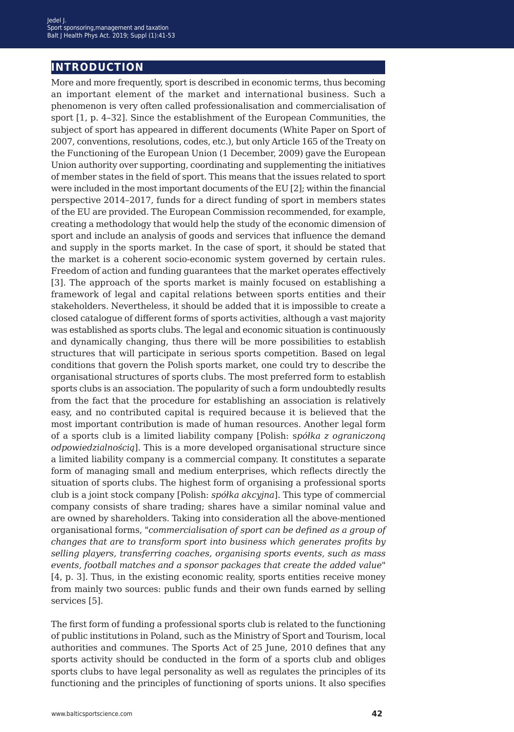# **introduction**

More and more frequently, sport is described in economic terms, thus becoming an important element of the market and international business. Such a phenomenon is very often called professionalisation and commercialisation of sport [1, p. 4–32]. Since the establishment of the European Communities, the subject of sport has appeared in different documents (White Paper on Sport of 2007, conventions, resolutions, codes, etc.), but only Article 165 of the Treaty on the Functioning of the European Union (1 December, 2009) gave the European Union authority over supporting, coordinating and supplementing the initiatives of member states in the field of sport. This means that the issues related to sport were included in the most important documents of the EU [2]; within the financial perspective 2014–2017, funds for a direct funding of sport in members states of the EU are provided. The European Commission recommended, for example, creating a methodology that would help the study of the economic dimension of sport and include an analysis of goods and services that influence the demand and supply in the sports market. In the case of sport, it should be stated that the market is a coherent socio-economic system governed by certain rules. Freedom of action and funding guarantees that the market operates effectively [3]. The approach of the sports market is mainly focused on establishing a framework of legal and capital relations between sports entities and their stakeholders. Nevertheless, it should be added that it is impossible to create a closed catalogue of different forms of sports activities, although a vast majority was established as sports clubs. The legal and economic situation is continuously and dynamically changing, thus there will be more possibilities to establish structures that will participate in serious sports competition. Based on legal conditions that govern the Polish sports market, one could try to describe the organisational structures of sports clubs. The most preferred form to establish sports clubs is an association. The popularity of such a form undoubtedly results from the fact that the procedure for establishing an association is relatively easy, and no contributed capital is required because it is believed that the most important contribution is made of human resources. Another legal form of a sports club is a limited liability company [Polish: s*półka z ograniczoną odpowiedzialnością*]. This is a more developed organisational structure since a limited liability company is a commercial company. It constitutes a separate form of managing small and medium enterprises, which reflects directly the situation of sports clubs. The highest form of organising a professional sports club is a joint stock company [Polish: *spółka akcyjna*]. This type of commercial company consists of share trading; shares have a similar nominal value and are owned by shareholders. Taking into consideration all the above-mentioned organisational forms, "*commercialisation of sport can be defined as a group of changes that are to transform sport into business which generates profits by selling players, transferring coaches, organising sports events, such as mass events, football matches and a sponsor packages that create the added value*" [4, p. 3]. Thus, in the existing economic reality, sports entities receive money from mainly two sources: public funds and their own funds earned by selling services [5].

The first form of funding a professional sports club is related to the functioning of public institutions in Poland, such as the Ministry of Sport and Tourism, local authorities and communes. The Sports Act of 25 June, 2010 defines that any sports activity should be conducted in the form of a sports club and obliges sports clubs to have legal personality as well as regulates the principles of its functioning and the principles of functioning of sports unions. It also specifies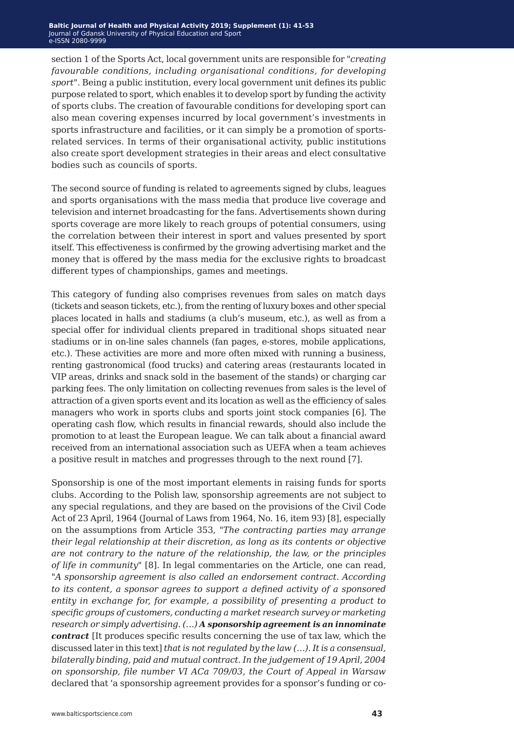section 1 of the Sports Act, local government units are responsible for "*creating favourable conditions, including organisational conditions, for developing sport*". Being a public institution, every local government unit defines its public purpose related to sport, which enables it to develop sport by funding the activity of sports clubs. The creation of favourable conditions for developing sport can also mean covering expenses incurred by local government's investments in sports infrastructure and facilities, or it can simply be a promotion of sportsrelated services. In terms of their organisational activity, public institutions also create sport development strategies in their areas and elect consultative bodies such as councils of sports.

The second source of funding is related to agreements signed by clubs, leagues and sports organisations with the mass media that produce live coverage and television and internet broadcasting for the fans. Advertisements shown during sports coverage are more likely to reach groups of potential consumers, using the correlation between their interest in sport and values presented by sport itself. This effectiveness is confirmed by the growing advertising market and the money that is offered by the mass media for the exclusive rights to broadcast different types of championships, games and meetings.

This category of funding also comprises revenues from sales on match days (tickets and season tickets, etc.), from the renting of luxury boxes and other special places located in halls and stadiums (a club's museum, etc.), as well as from a special offer for individual clients prepared in traditional shops situated near stadiums or in on-line sales channels (fan pages, e-stores, mobile applications, etc.). These activities are more and more often mixed with running a business, renting gastronomical (food trucks) and catering areas (restaurants located in VIP areas, drinks and snack sold in the basement of the stands) or charging car parking fees. The only limitation on collecting revenues from sales is the level of attraction of a given sports event and its location as well as the efficiency of sales managers who work in sports clubs and sports joint stock companies [6]. The operating cash flow, which results in financial rewards, should also include the promotion to at least the European league. We can talk about a financial award received from an international association such as UEFA when a team achieves a positive result in matches and progresses through to the next round [7].

Sponsorship is one of the most important elements in raising funds for sports clubs. According to the Polish law, sponsorship agreements are not subject to any special regulations, and they are based on the provisions of the Civil Code Act of 23 April, 1964 (Journal of Laws from 1964, No. 16, item 93) [8], especially on the assumptions from Article 353, "*The contracting parties may arrange their legal relationship at their discretion, as long as its contents or objective are not contrary to the nature of the relationship, the law, or the principles of life in community"* [8]. In legal commentaries on the Article, one can read, "*A sponsorship agreement is also called an endorsement contract. According to its content, a sponsor agrees to support a defined activity of a sponsored entity in exchange for, for example, a possibility of presenting a product to specific groups of customers, conducting a market research survey or marketing research or simply advertising. (…) A sponsorship agreement is an innominate contract* [It produces specific results concerning the use of tax law, which the discussed later in this text] *that is not regulated by the law (…). It is a consensual, bilaterally binding, paid and mutual contract. In the judgement of 19 April, 2004 on sponsorship, file number VI ACa 709/03, the Court of Appeal in Warsaw*  declared that 'a sponsorship agreement provides for a sponsor's funding or co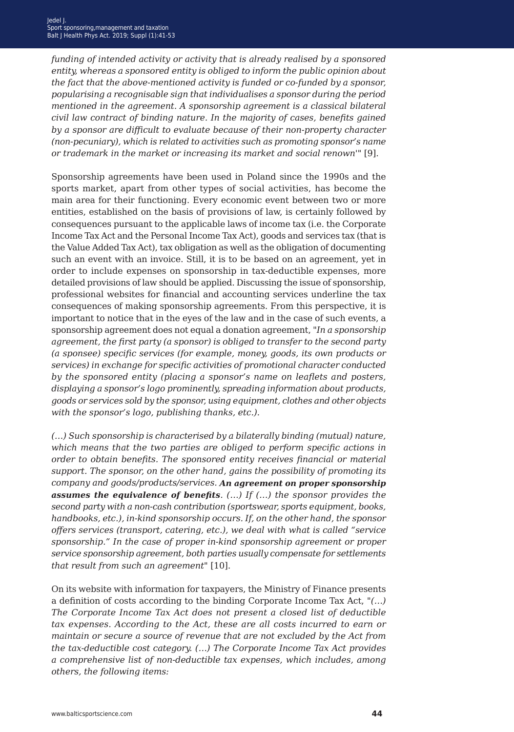*funding of intended activity or activity that is already realised by a sponsored entity, whereas a sponsored entity is obliged to inform the public opinion about the fact that the above-mentioned activity is funded or co-funded by a sponsor, popularising a recognisable sign that individualises a sponsor during the period mentioned in the agreement. A sponsorship agreement is a classical bilateral civil law contract of binding nature. In the majority of cases, benefits gained by a sponsor are difficult to evaluate because of their non-property character (non-pecuniary), which is related to activities such as promoting sponsor's name or trademark in the market or increasing its market and social renown*'" [9].

Sponsorship agreements have been used in Poland since the 1990s and the sports market, apart from other types of social activities, has become the main area for their functioning. Every economic event between two or more entities, established on the basis of provisions of law, is certainly followed by consequences pursuant to the applicable laws of income tax (i.e. the Corporate Income Tax Act and the Personal Income Tax Act), goods and services tax (that is the Value Added Tax Act), tax obligation as well as the obligation of documenting such an event with an invoice. Still, it is to be based on an agreement, yet in order to include expenses on sponsorship in tax-deductible expenses, more detailed provisions of law should be applied. Discussing the issue of sponsorship, professional websites for financial and accounting services underline the tax consequences of making sponsorship agreements. From this perspective, it is important to notice that in the eyes of the law and in the case of such events, a sponsorship agreement does not equal a donation agreement, "*In a sponsorship agreement, the first party (a sponsor) is obliged to transfer to the second party (a sponsee) specific services (for example, money, goods, its own products or services) in exchange for specific activities of promotional character conducted by the sponsored entity (placing a sponsor's name on leaflets and posters, displaying a sponsor's logo prominently, spreading information about products, goods or services sold by the sponsor, using equipment, clothes and other objects with the sponsor's logo, publishing thanks, etc.).*

*(…) Such sponsorship is characterised by a bilaterally binding (mutual) nature, which means that the two parties are obliged to perform specific actions in order to obtain benefits. The sponsored entity receives financial or material support. The sponsor, on the other hand, gains the possibility of promoting its company and goods/products/services. An agreement on proper sponsorship assumes the equivalence of benefits. (…) If (…) the sponsor provides the second party with a non-cash contribution (sportswear, sports equipment, books, handbooks, etc.), in-kind sponsorship occurs. If, on the other hand, the sponsor offers services (transport, catering, etc.), we deal with what is called "service sponsorship." In the case of proper in-kind sponsorship agreement or proper service sponsorship agreement, both parties usually compensate for settlements that result from such an agreement"* [10].

On its website with information for taxpayers, the Ministry of Finance presents a definition of costs according to the binding Corporate Income Tax Act, *"(…) The Corporate Income Tax Act does not present a closed list of deductible tax expenses. According to the Act, these are all costs incurred to earn or maintain or secure a source of revenue that are not excluded by the Act from the tax-deductible cost category. (…) The Corporate Income Tax Act provides a comprehensive list of non-deductible tax expenses, which includes, among others, the following items:*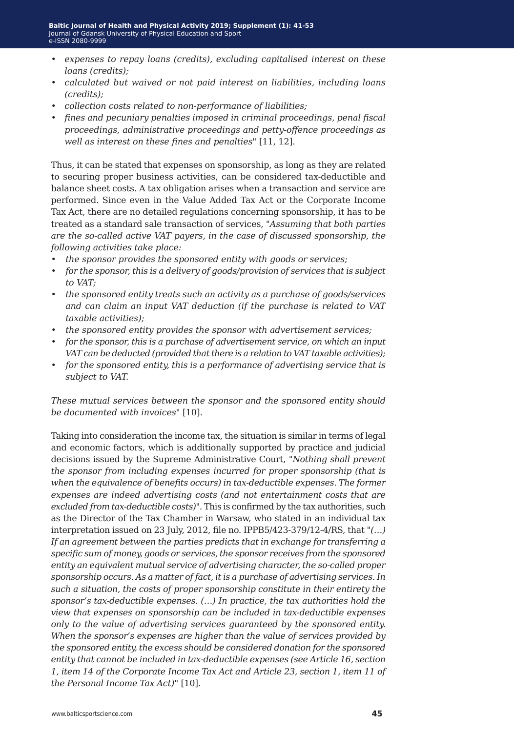- *• expenses to repay loans (credits), excluding capitalised interest on these loans (credits);*
- *• calculated but waived or not paid interest on liabilities, including loans (credits);*
- *• collection costs related to non-performance of liabilities;*
- *• fines and pecuniary penalties imposed in criminal proceedings, penal fiscal proceedings, administrative proceedings and petty-offence proceedings as well as interest on these fines and penalties"* [11, 12].

Thus, it can be stated that expenses on sponsorship, as long as they are related to securing proper business activities, can be considered tax-deductible and balance sheet costs. A tax obligation arises when a transaction and service are performed. Since even in the Value Added Tax Act or the Corporate Income Tax Act, there are no detailed regulations concerning sponsorship, it has to be treated as a standard sale transaction of services, *"Assuming that both parties are the so-called active VAT payers, in the case of discussed sponsorship, the following activities take place:*

- *• the sponsor provides the sponsored entity with goods or services;*
- *• for the sponsor, this is a delivery of goods/provision of services that is subject to VAT;*
- *• the sponsored entity treats such an activity as a purchase of goods/services and can claim an input VAT deduction (if the purchase is related to VAT taxable activities);*
- *• the sponsored entity provides the sponsor with advertisement services;*
- *• for the sponsor, this is a purchase of advertisement service, on which an input VAT can be deducted (provided that there is a relation to VAT taxable activities);*
- *• for the sponsored entity, this is a performance of advertising service that is subject to VAT.*

*These mutual services between the sponsor and the sponsored entity should be documented with invoices"* [10].

Taking into consideration the income tax, the situation is similar in terms of legal and economic factors, which is additionally supported by practice and judicial decisions issued by the Supreme Administrative Court, *"Nothing shall prevent the sponsor from including expenses incurred for proper sponsorship (that is when the equivalence of benefits occurs) in tax-deductible expenses. The former expenses are indeed advertising costs (and not entertainment costs that are excluded from tax-deductible costs)".* This is confirmed by the tax authorities, such as the Director of the Tax Chamber in Warsaw, who stated in an individual tax interpretation issued on 23 July, 2012, file no. IPPB5/423-379/12-4/RS, that *"(…) If an agreement between the parties predicts that in exchange for transferring a specific sum of money, goods or services, the sponsor receives from the sponsored entity an equivalent mutual service of advertising character, the so-called proper sponsorship occurs. As a matter of fact, it is a purchase of advertising services. In such a situation, the costs of proper sponsorship constitute in their entirety the sponsor's tax-deductible expenses. (…) In practice, the tax authorities hold the view that expenses on sponsorship can be included in tax-deductible expenses only to the value of advertising services guaranteed by the sponsored entity. When the sponsor's expenses are higher than the value of services provided by the sponsored entity, the excess should be considered donation for the sponsored entity that cannot be included in tax-deductible expenses (see Article 16, section 1, item 14 of the Corporate Income Tax Act and Article 23, section 1, item 11 of the Personal Income Tax Act)"* [10].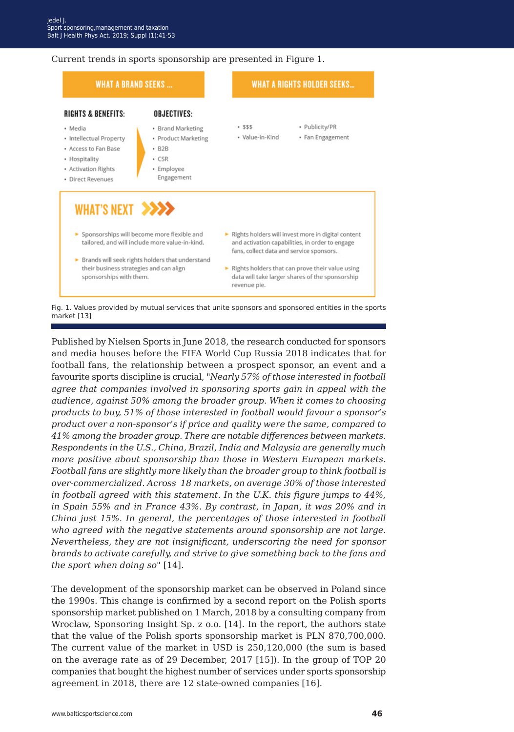#### Current trends in sports sponsorship are presented in Figure 1.

| <b>WHAT A BRAND SEEKS</b>                                                                                                                                                                                                                   |                                                                                                                     |                                                          | <b>WHAT A RIGHTS HOLDER SEEKS</b>                                                                                                                                                                           |  |
|---------------------------------------------------------------------------------------------------------------------------------------------------------------------------------------------------------------------------------------------|---------------------------------------------------------------------------------------------------------------------|----------------------------------------------------------|-------------------------------------------------------------------------------------------------------------------------------------------------------------------------------------------------------------|--|
| <b>RIGHTS &amp; BENEFITS:</b><br>· Media<br>• Intellectual Property<br>· Access to Fan Base<br>• Hospitality<br>• Activation Rights<br>· Direct Revenues                                                                                    | <b>OBJECTIVES:</b><br>• Brand Marketing<br>· Product Marketing<br>$-B2B$<br>$\cdot$ CSR<br>· Employee<br>Engagement | .555<br>· Value-in-Kind                                  | · Publicity/PR<br>• Fan Engagement                                                                                                                                                                          |  |
| WHAT'S NEXT >>>><br>Sponsorships will become more flexible and<br>tailored, and will include more value-in-kind.<br>> Brands will seek rights holders that understand<br>their business strategies and can align<br>sponsorships with them. |                                                                                                                     | fans, collect data and service sponsors.<br>revenue pie. | Rights holders will invest more in digital content<br>and activation capabilities, in order to engage<br>Rights holders that can prove their value using<br>data will take larger shares of the sponsorship |  |

Fig. 1. Values provided by mutual services that unite sponsors and sponsored entities in the sports market [13]

Published by Nielsen Sports in June 2018, the research conducted for sponsors and media houses before the FIFA World Cup Russia 2018 indicates that for football fans, the relationship between a prospect sponsor, an event and a favourite sports discipline is crucial, "*Nearly 57% of those interested in football agree that companies involved in sponsoring sports gain in appeal with the audience, against 50% among the broader group. When it comes to choosing products to buy, 51% of those interested in football would favour a sponsor's product over a non-sponsor's if price and quality were the same, compared to 41% among the broader group. There are notable differences between markets. Respondents in the U.S., China, Brazil, India and Malaysia are generally much more positive about sponsorship than those in Western European markets. Football fans are slightly more likely than the broader group to think football is over-commercialized. Across 18 markets, on average 30% of those interested in football agreed with this statement. In the U.K. this figure jumps to 44%, in Spain 55% and in France 43%. By contrast, in Japan, it was 20% and in China just 15%. In general, the percentages of those interested in football who agreed with the negative statements around sponsorship are not large. Nevertheless, they are not insignificant, underscoring the need for sponsor brands to activate carefully, and strive to give something back to the fans and the sport when doing so*" [14].

The development of the sponsorship market can be observed in Poland since the 1990s. This change is confirmed by a second report on the Polish sports sponsorship market published on 1 March, 2018 by a consulting company from Wroclaw, Sponsoring Insight Sp. z o.o. [14]. In the report, the authors state that the value of the Polish sports sponsorship market is PLN 870,700,000. The current value of the market in USD is 250,120,000 (the sum is based on the average rate as of 29 December, 2017 [15]). In the group of TOP 20 companies that bought the highest number of services under sports sponsorship agreement in 2018, there are 12 state-owned companies [16].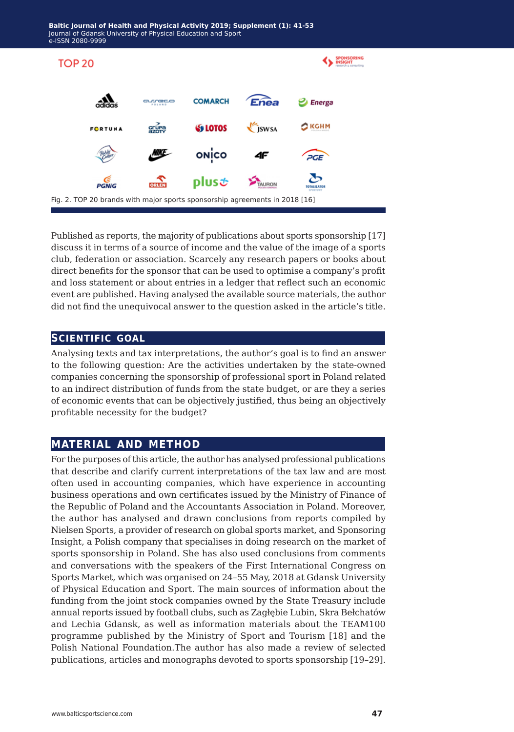

Published as reports, the majority of publications about sports sponsorship [17] discuss it in terms of a source of income and the value of the image of a sports club, federation or association. Scarcely any research papers or books about direct benefits for the sponsor that can be used to optimise a company's profit and loss statement or about entries in a ledger that reflect such an economic event are published. Having analysed the available source materials, the author did not find the unequivocal answer to the question asked in the article's title.

### **scientific goal**

Analysing texts and tax interpretations, the author's goal is to find an answer to the following question: Are the activities undertaken by the state-owned companies concerning the sponsorship of professional sport in Poland related to an indirect distribution of funds from the state budget, or are they a series of economic events that can be objectively justified, thus being an objectively profitable necessity for the budget?

## **material and method**

For the purposes of this article, the author has analysed professional publications that describe and clarify current interpretations of the tax law and are most often used in accounting companies, which have experience in accounting business operations and own certificates issued by the Ministry of Finance of the Republic of Poland and the Accountants Association in Poland. Moreover, the author has analysed and drawn conclusions from reports compiled by Nielsen Sports, a provider of research on global sports market, and Sponsoring Insight, a Polish company that specialises in doing research on the market of sports sponsorship in Poland. She has also used conclusions from comments and conversations with the speakers of the First International Congress on Sports Market, which was organised on 24–55 May, 2018 at Gdansk University of Physical Education and Sport. The main sources of information about the funding from the joint stock companies owned by the State Treasury include annual reports issued by football clubs, such as Zagłębie Lubin, Skra Bełchatów and Lechia Gdansk, as well as information materials about the TEAM100 programme published by the Ministry of Sport and Tourism [18] and the Polish National Foundation.The author has also made a review of selected publications, articles and monographs devoted to sports sponsorship [19–29].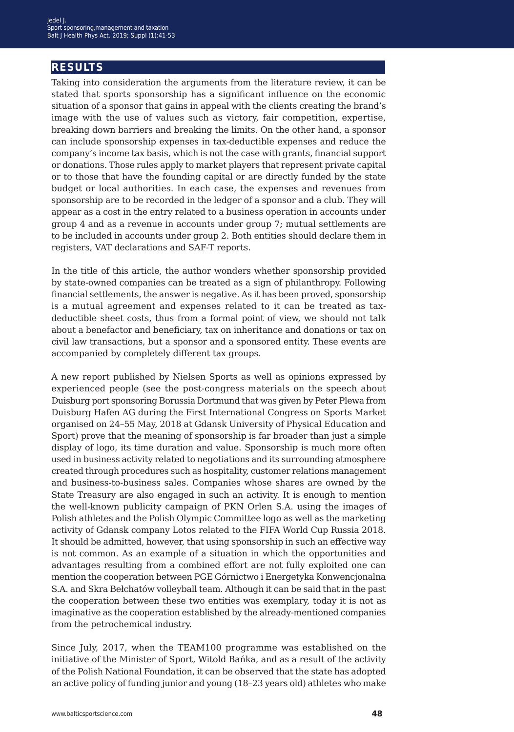# **results**

Taking into consideration the arguments from the literature review, it can be stated that sports sponsorship has a significant influence on the economic situation of a sponsor that gains in appeal with the clients creating the brand's image with the use of values such as victory, fair competition, expertise, breaking down barriers and breaking the limits. On the other hand, a sponsor can include sponsorship expenses in tax-deductible expenses and reduce the company's income tax basis, which is not the case with grants, financial support or donations. Those rules apply to market players that represent private capital or to those that have the founding capital or are directly funded by the state budget or local authorities. In each case, the expenses and revenues from sponsorship are to be recorded in the ledger of a sponsor and a club. They will appear as a cost in the entry related to a business operation in accounts under group 4 and as a revenue in accounts under group 7; mutual settlements are to be included in accounts under group 2. Both entities should declare them in registers, VAT declarations and SAF-T reports.

In the title of this article, the author wonders whether sponsorship provided by state-owned companies can be treated as a sign of philanthropy. Following financial settlements, the answer is negative. As it has been proved, sponsorship is a mutual agreement and expenses related to it can be treated as taxdeductible sheet costs, thus from a formal point of view, we should not talk about a benefactor and beneficiary, tax on inheritance and donations or tax on civil law transactions, but a sponsor and a sponsored entity. These events are accompanied by completely different tax groups.

A new report published by Nielsen Sports as well as opinions expressed by experienced people (see the post-congress materials on the speech about Duisburg port sponsoring Borussia Dortmund that was given by Peter Plewa from Duisburg Hafen AG during the First International Congress on Sports Market organised on 24–55 May, 2018 at Gdansk University of Physical Education and Sport) prove that the meaning of sponsorship is far broader than just a simple display of logo, its time duration and value. Sponsorship is much more often used in business activity related to negotiations and its surrounding atmosphere created through procedures such as hospitality, customer relations management and business-to-business sales. Companies whose shares are owned by the State Treasury are also engaged in such an activity. It is enough to mention the well-known publicity campaign of PKN Orlen S.A. using the images of Polish athletes and the Polish Olympic Committee logo as well as the marketing activity of Gdansk company Lotos related to the FIFA World Cup Russia 2018. It should be admitted, however, that using sponsorship in such an effective way is not common. As an example of a situation in which the opportunities and advantages resulting from a combined effort are not fully exploited one can mention the cooperation between PGE Górnictwo i Energetyka Konwencjonalna S.A. and Skra Bełchatów volleyball team. Although it can be said that in the past the cooperation between these two entities was exemplary, today it is not as imaginative as the cooperation established by the already-mentioned companies from the petrochemical industry.

Since July, 2017, when the TEAM100 programme was established on the initiative of the Minister of Sport, Witold Bańka, and as a result of the activity of the Polish National Foundation, it can be observed that the state has adopted an active policy of funding junior and young (18–23 years old) athletes who make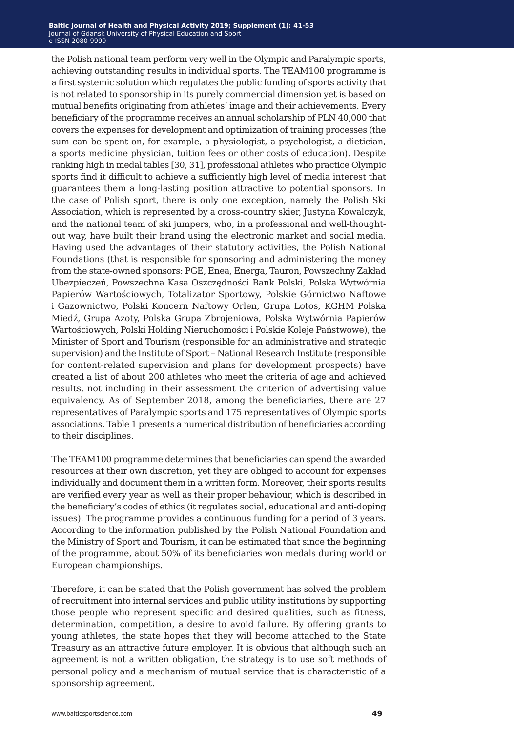the Polish national team perform very well in the Olympic and Paralympic sports, achieving outstanding results in individual sports. The TEAM100 programme is a first systemic solution which regulates the public funding of sports activity that is not related to sponsorship in its purely commercial dimension yet is based on mutual benefits originating from athletes' image and their achievements. Every beneficiary of the programme receives an annual scholarship of PLN 40,000 that covers the expenses for development and optimization of training processes (the sum can be spent on, for example, a physiologist, a psychologist, a dietician, a sports medicine physician, tuition fees or other costs of education). Despite ranking high in medal tables [30, 31], professional athletes who practice Olympic sports find it difficult to achieve a sufficiently high level of media interest that guarantees them a long-lasting position attractive to potential sponsors. In the case of Polish sport, there is only one exception, namely the Polish Ski Association, which is represented by a cross-country skier, Justyna Kowalczyk, and the national team of ski jumpers, who, in a professional and well-thoughtout way, have built their brand using the electronic market and social media. Having used the advantages of their statutory activities, the Polish National Foundations (that is responsible for sponsoring and administering the money from the state-owned sponsors: PGE, Enea, Energa, Tauron, Powszechny Zakład Ubezpieczeń, Powszechna Kasa Oszczędności Bank Polski, Polska Wytwórnia Papierów Wartościowych, Totalizator Sportowy, Polskie Górnictwo Naftowe i Gazownictwo, Polski Koncern Naftowy Orlen, Grupa Lotos, KGHM Polska Miedź, Grupa Azoty, Polska Grupa Zbrojeniowa, Polska Wytwórnia Papierów Wartościowych, Polski Holding Nieruchomości i Polskie Koleje Państwowe), the Minister of Sport and Tourism (responsible for an administrative and strategic supervision) and the Institute of Sport – National Research Institute (responsible for content-related supervision and plans for development prospects) have created a list of about 200 athletes who meet the criteria of age and achieved results, not including in their assessment the criterion of advertising value equivalency. As of September 2018, among the beneficiaries, there are 27 representatives of Paralympic sports and 175 representatives of Olympic sports associations. Table 1 presents a numerical distribution of beneficiaries according to their disciplines.

The TEAM100 programme determines that beneficiaries can spend the awarded resources at their own discretion, yet they are obliged to account for expenses individually and document them in a written form. Moreover, their sports results are verified every year as well as their proper behaviour, which is described in the beneficiary's codes of ethics (it regulates social, educational and anti-doping issues). The programme provides a continuous funding for a period of 3 years. According to the information published by the Polish National Foundation and the Ministry of Sport and Tourism, it can be estimated that since the beginning of the programme, about 50% of its beneficiaries won medals during world or European championships.

Therefore, it can be stated that the Polish government has solved the problem of recruitment into internal services and public utility institutions by supporting those people who represent specific and desired qualities, such as fitness, determination, competition, a desire to avoid failure. By offering grants to young athletes, the state hopes that they will become attached to the State Treasury as an attractive future employer. It is obvious that although such an agreement is not a written obligation, the strategy is to use soft methods of personal policy and a mechanism of mutual service that is characteristic of a sponsorship agreement.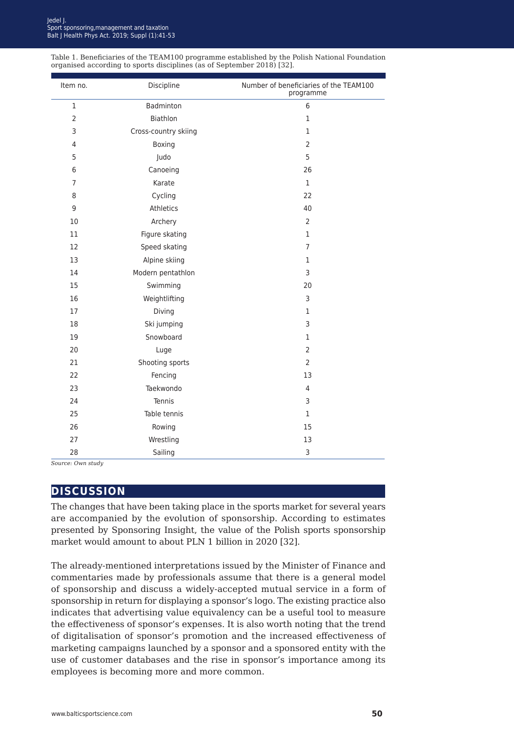| Table 1. Beneficiaries of the TEAM100 programme established by the Polish National Foundation |
|-----------------------------------------------------------------------------------------------|
| organised according to sports disciplines (as of September 2018) [32].                        |

| Item no.         | Discipline           | Number of beneficiaries of the TEAM100<br>programme |
|------------------|----------------------|-----------------------------------------------------|
| $\mathbf 1$      | Badminton            | 6                                                   |
| $\overline{2}$   | Biathlon             | $\mathbf 1$                                         |
| 3                | Cross-country skiing | $\mathbf{1}$                                        |
| $\overline{4}$   | Boxing               | $\overline{2}$                                      |
| 5                | Judo                 | 5                                                   |
| 6                | Canoeing             | 26                                                  |
| $\overline{7}$   | Karate               | $\mathbf{1}$                                        |
| 8                | Cycling              | 22                                                  |
| $\boldsymbol{9}$ | Athletics            | 40                                                  |
| 10               | Archery              | $\overline{2}$                                      |
| 11               | Figure skating       | $\mathbf{1}$                                        |
| 12               | Speed skating        | $\overline{7}$                                      |
| 13               | Alpine skiing        | $\mathbf{1}$                                        |
| 14               | Modern pentathlon    | 3                                                   |
| 15               | Swimming             | 20                                                  |
| 16               | Weightlifting        | 3                                                   |
| 17               | Diving               | $\mathbf{1}$                                        |
| 18               | Ski jumping          | 3                                                   |
| 19               | Snowboard            | $\mathbf{1}$                                        |
| 20               | Luge                 | $\overline{2}$                                      |
| 21               | Shooting sports      | $\overline{2}$                                      |
| 22               | Fencing              | 13                                                  |
| 23               | Taekwondo            | 4                                                   |
| 24               | Tennis               | 3                                                   |
| 25               | Table tennis         | $\mathbf{1}$                                        |
| 26               | Rowing               | 15                                                  |
| 27               | Wrestling            | 13                                                  |
| 28               | Sailing              | 3                                                   |

*Source: Own study*

### **discussion**

The changes that have been taking place in the sports market for several years are accompanied by the evolution of sponsorship. According to estimates presented by Sponsoring Insight, the value of the Polish sports sponsorship market would amount to about PLN 1 billion in 2020 [32].

The already-mentioned interpretations issued by the Minister of Finance and commentaries made by professionals assume that there is a general model of sponsorship and discuss a widely-accepted mutual service in a form of sponsorship in return for displaying a sponsor's logo. The existing practice also indicates that advertising value equivalency can be a useful tool to measure the effectiveness of sponsor's expenses. It is also worth noting that the trend of digitalisation of sponsor's promotion and the increased effectiveness of marketing campaigns launched by a sponsor and a sponsored entity with the use of customer databases and the rise in sponsor's importance among its employees is becoming more and more common.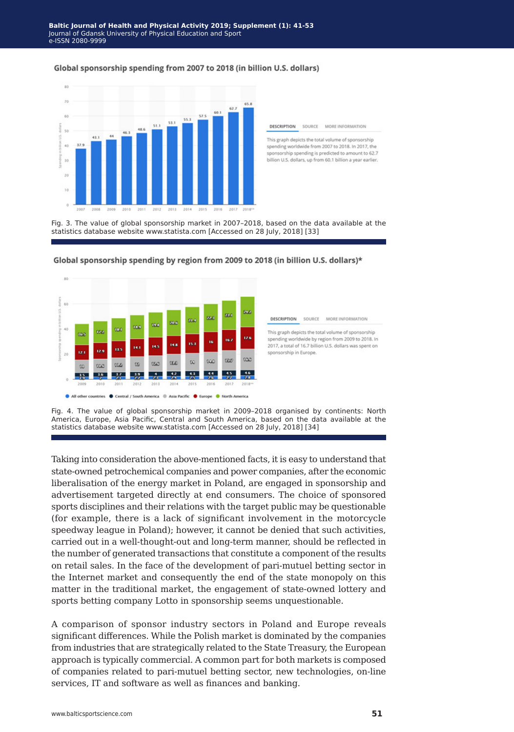#### Global sponsorship spending from 2007 to 2018 (in billion U.S. dollars)



Fig. 3. The value of global sponsorship market in 2007–2018, based on the data available at the statistics database website www.statista.com [Accessed on 28 July, 2018] [33]



Global sponsorship spending by region from 2009 to 2018 (in billion U.S. dollars)\*

**DESCRIPTION** SOURCE MORE INFORMATION This graph depicts the total volume of sponsorship spending worldwide by region from 2009 to 2018. In 2017, a total of 16.7 billion U.S. dollars was spent on snonsorship in Furone.

**DESCRIPTION** 

SOURCE

This graph depicts the total volume of sponsorship

spending worldwide from 2007 to 2018. In 2017, the sponsorship spending is predicted to amount to 62.7

billion U.S. dollars, up from 60.1 billion a year earlier.

MORE INFORMATION

Fig. 4. The value of global sponsorship market in 2009–2018 organised by continents: North America, Europe, Asia Pacific, Central and South America, based on the data available at the statistics database website www.statista.com [Accessed on 28 July, 2018] [34]

Taking into consideration the above-mentioned facts, it is easy to understand that state-owned petrochemical companies and power companies, after the economic liberalisation of the energy market in Poland, are engaged in sponsorship and advertisement targeted directly at end consumers. The choice of sponsored sports disciplines and their relations with the target public may be questionable (for example, there is a lack of significant involvement in the motorcycle speedway league in Poland); however, it cannot be denied that such activities, carried out in a well-thought-out and long-term manner, should be reflected in the number of generated transactions that constitute a component of the results on retail sales. In the face of the development of pari-mutuel betting sector in the Internet market and consequently the end of the state monopoly on this matter in the traditional market, the engagement of state-owned lottery and sports betting company Lotto in sponsorship seems unquestionable.

A comparison of sponsor industry sectors in Poland and Europe reveals significant differences. While the Polish market is dominated by the companies from industries that are strategically related to the State Treasury, the European approach is typically commercial. A common part for both markets is composed of companies related to pari-mutuel betting sector, new technologies, on-line services, IT and software as well as finances and banking.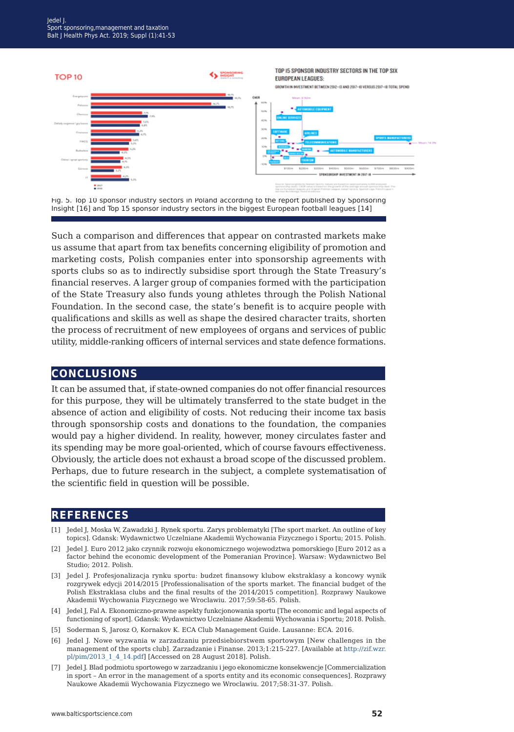

Fig. 5. Top 10 sponsor industry sectors in Poland according to the report published by Sponsoring Insight [16] and Top 15 sponsor industry sectors in the biggest European football leagues [14]

Such a comparison and differences that appear on contrasted markets make us assume that apart from tax benefits concerning eligibility of promotion and marketing costs, Polish companies enter into sponsorship agreements with sports clubs so as to indirectly subsidise sport through the State Treasury's financial reserves. A larger group of companies formed with the participation of the State Treasury also funds young athletes through the Polish National Foundation. In the second case, the state's benefit is to acquire people with qualifications and skills as well as shape the desired character traits, shorten the process of recruitment of new employees of organs and services of public utility, middle-ranking officers of internal services and state defence formations.

#### **conclusions**

It can be assumed that, if state-owned companies do not offer financial resources for this purpose, they will be ultimately transferred to the state budget in the absence of action and eligibility of costs. Not reducing their income tax basis through sponsorship costs and donations to the foundation, the companies would pay a higher dividend. In reality, however, money circulates faster and its spending may be more goal-oriented, which of course favours effectiveness. Obviously, the article does not exhaust a broad scope of the discussed problem. Perhaps, due to future research in the subject, a complete systematisation of the scientific field in question will be possible.

## **references**

- [1] Jedel J, Moska W, Zawadzki J. Rynek sportu. Zarys problematyki [The sport market. An outline of key topics]. Gdansk: Wydawnictwo Uczelniane Akademii Wychowania Fizycznego i Sportu; 2015. Polish.
- [2] Jedel J. Euro 2012 jako czynnik rozwoju ekonomicznego wojewodztwa pomorskiego [Euro 2012 as a factor behind the economic development of the Pomeranian Province]. Warsaw: Wydawnictwo Bel Studio; 2012. Polish.
- [3] Jedel J. Profesjonalizacja rynku sportu: budzet finansowy klubow ekstraklasy a koncowy wynik rozgrywek edycji 2014/2015 [Professionalisation of the sports market. The financial budget of the Polish Ekstraklasa clubs and the final results of the 2014/2015 competition]. Rozprawy Naukowe Akademii Wychowania Fizycznego we Wroclawiu. 2017;59:58-65. Polish.
- [4] Jedel J, Fal A. Ekonomiczno-prawne aspekty funkcjonowania sportu [The economic and legal aspects of functioning of sport]. Gdansk: Wydawnictwo Uczelniane Akademii Wychowania i Sportu; 2018. Polish.
- [5] Soderman S, Jarosz O, Kornakov K. ECA Club Management Guide. Lausanne: ECA. 2016.
- [6] Jedel J. Nowe wyzwania w zarzadzaniu przedsiebiorstwem sportowym [New challenges in the management of the sports club]. Zarzadzanie i Finanse. 2013;1:215-227. [Available at [http://zif.wzr.](http://zif.wzr.pl/pim/2013_1_4_14.pdf) [pl/pim/2013\\_1\\_4\\_14.pdf](http://zif.wzr.pl/pim/2013_1_4_14.pdf)] [Accessed on 28 August 2018]. Polish.
- [7] Jedel J. Blad podmiotu sportowego w zarzadzaniu i jego ekonomiczne konsekwencje [Commercialization in sport – An error in the management of a sports entity and its economic consequences]. Rozprawy Naukowe Akademii Wychowania Fizycznego we Wroclawiu. 2017;58:31-37. Polish.